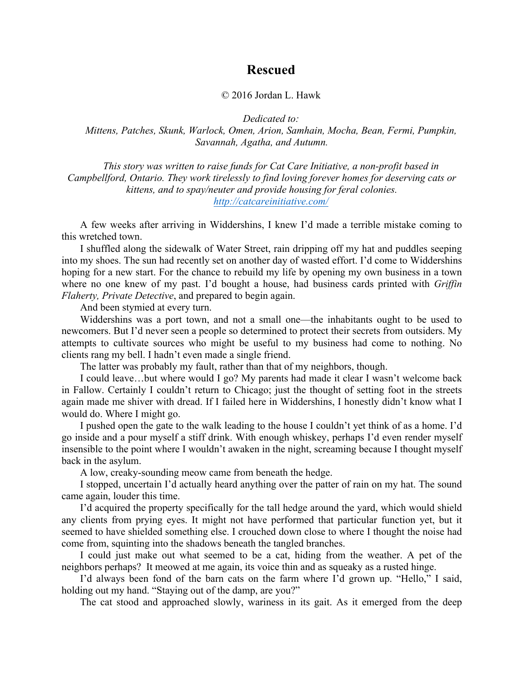## **Rescued**

## © 2016 Jordan L. Hawk

*Dedicated to:*

*Mittens, Patches, Skunk, Warlock, Omen, Arion, Samhain, Mocha, Bean, Fermi, Pumpkin, Savannah, Agatha, and Autumn.*

*This story was written to raise funds for Cat Care Initiative, a non-profit based in Campbellford, Ontario. They work tirelessly to find loving forever homes for deserving cats or kittens, and to spay/neuter and provide housing for feral colonies. http://catcareinitiative.com/*

A few weeks after arriving in Widdershins, I knew I'd made a terrible mistake coming to this wretched town.

I shuffled along the sidewalk of Water Street, rain dripping off my hat and puddles seeping into my shoes. The sun had recently set on another day of wasted effort. I'd come to Widdershins hoping for a new start. For the chance to rebuild my life by opening my own business in a town where no one knew of my past. I'd bought a house, had business cards printed with *Griffin Flaherty, Private Detective*, and prepared to begin again.

And been stymied at every turn.

Widdershins was a port town, and not a small one—the inhabitants ought to be used to newcomers. But I'd never seen a people so determined to protect their secrets from outsiders. My attempts to cultivate sources who might be useful to my business had come to nothing. No clients rang my bell. I hadn't even made a single friend.

The latter was probably my fault, rather than that of my neighbors, though.

I could leave…but where would I go? My parents had made it clear I wasn't welcome back in Fallow. Certainly I couldn't return to Chicago; just the thought of setting foot in the streets again made me shiver with dread. If I failed here in Widdershins, I honestly didn't know what I would do. Where I might go.

I pushed open the gate to the walk leading to the house I couldn't yet think of as a home. I'd go inside and a pour myself a stiff drink. With enough whiskey, perhaps I'd even render myself insensible to the point where I wouldn't awaken in the night, screaming because I thought myself back in the asylum.

A low, creaky-sounding meow came from beneath the hedge.

I stopped, uncertain I'd actually heard anything over the patter of rain on my hat. The sound came again, louder this time.

I'd acquired the property specifically for the tall hedge around the yard, which would shield any clients from prying eyes. It might not have performed that particular function yet, but it seemed to have shielded something else. I crouched down close to where I thought the noise had come from, squinting into the shadows beneath the tangled branches.

I could just make out what seemed to be a cat, hiding from the weather. A pet of the neighbors perhaps? It meowed at me again, its voice thin and as squeaky as a rusted hinge.

I'd always been fond of the barn cats on the farm where I'd grown up. "Hello," I said, holding out my hand. "Staying out of the damp, are you?"

The cat stood and approached slowly, wariness in its gait. As it emerged from the deep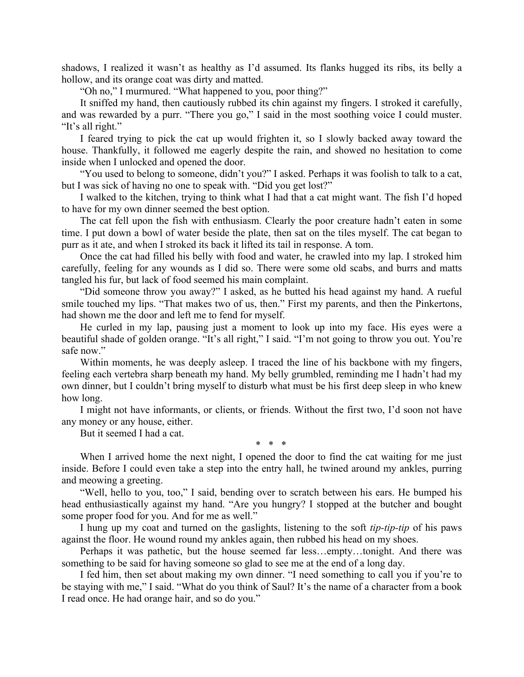shadows, I realized it wasn't as healthy as I'd assumed. Its flanks hugged its ribs, its belly a hollow, and its orange coat was dirty and matted.

"Oh no," I murmured. "What happened to you, poor thing?"

It sniffed my hand, then cautiously rubbed its chin against my fingers. I stroked it carefully, and was rewarded by a purr. "There you go," I said in the most soothing voice I could muster. "It's all right."

I feared trying to pick the cat up would frighten it, so I slowly backed away toward the house. Thankfully, it followed me eagerly despite the rain, and showed no hesitation to come inside when I unlocked and opened the door.

"You used to belong to someone, didn't you?" I asked. Perhaps it was foolish to talk to a cat, but I was sick of having no one to speak with. "Did you get lost?"

I walked to the kitchen, trying to think what I had that a cat might want. The fish I'd hoped to have for my own dinner seemed the best option.

The cat fell upon the fish with enthusiasm. Clearly the poor creature hadn't eaten in some time. I put down a bowl of water beside the plate, then sat on the tiles myself. The cat began to purr as it ate, and when I stroked its back it lifted its tail in response. A tom.

Once the cat had filled his belly with food and water, he crawled into my lap. I stroked him carefully, feeling for any wounds as I did so. There were some old scabs, and burrs and matts tangled his fur, but lack of food seemed his main complaint.

"Did someone throw you away?" I asked, as he butted his head against my hand. A rueful smile touched my lips. "That makes two of us, then." First my parents, and then the Pinkertons, had shown me the door and left me to fend for myself.

He curled in my lap, pausing just a moment to look up into my face. His eyes were a beautiful shade of golden orange. "It's all right," I said. "I'm not going to throw you out. You're safe now."

Within moments, he was deeply asleep. I traced the line of his backbone with my fingers, feeling each vertebra sharp beneath my hand. My belly grumbled, reminding me I hadn't had my own dinner, but I couldn't bring myself to disturb what must be his first deep sleep in who knew how long.

I might not have informants, or clients, or friends. Without the first two, I'd soon not have any money or any house, either.

But it seemed I had a cat.

When I arrived home the next night, I opened the door to find the cat waiting for me just inside. Before I could even take a step into the entry hall, he twined around my ankles, purring and meowing a greeting.

\* \* \*

"Well, hello to you, too," I said, bending over to scratch between his ears. He bumped his head enthusiastically against my hand. "Are you hungry? I stopped at the butcher and bought some proper food for you. And for me as well."

I hung up my coat and turned on the gaslights, listening to the soft *tip-tip-tip* of his paws against the floor. He wound round my ankles again, then rubbed his head on my shoes.

Perhaps it was pathetic, but the house seemed far less…empty…tonight. And there was something to be said for having someone so glad to see me at the end of a long day.

I fed him, then set about making my own dinner. "I need something to call you if you're to be staying with me," I said. "What do you think of Saul? It's the name of a character from a book I read once. He had orange hair, and so do you."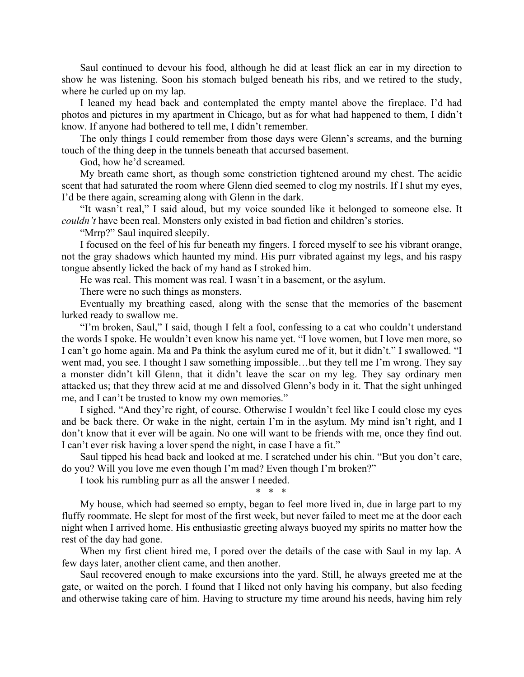Saul continued to devour his food, although he did at least flick an ear in my direction to show he was listening. Soon his stomach bulged beneath his ribs, and we retired to the study, where he curled up on my lap.

I leaned my head back and contemplated the empty mantel above the fireplace. I'd had photos and pictures in my apartment in Chicago, but as for what had happened to them, I didn't know. If anyone had bothered to tell me, I didn't remember.

The only things I could remember from those days were Glenn's screams, and the burning touch of the thing deep in the tunnels beneath that accursed basement.

God, how he'd screamed.

My breath came short, as though some constriction tightened around my chest. The acidic scent that had saturated the room where Glenn died seemed to clog my nostrils. If I shut my eyes, I'd be there again, screaming along with Glenn in the dark.

"It wasn't real," I said aloud, but my voice sounded like it belonged to someone else. It *couldn't* have been real. Monsters only existed in bad fiction and children's stories.

"Mrrp?" Saul inquired sleepily.

I focused on the feel of his fur beneath my fingers. I forced myself to see his vibrant orange, not the gray shadows which haunted my mind. His purr vibrated against my legs, and his raspy tongue absently licked the back of my hand as I stroked him.

He was real. This moment was real. I wasn't in a basement, or the asylum.

There were no such things as monsters.

Eventually my breathing eased, along with the sense that the memories of the basement lurked ready to swallow me.

"I'm broken, Saul," I said, though I felt a fool, confessing to a cat who couldn't understand the words I spoke. He wouldn't even know his name yet. "I love women, but I love men more, so I can't go home again. Ma and Pa think the asylum cured me of it, but it didn't." I swallowed. "I went mad, you see. I thought I saw something impossible…but they tell me I'm wrong. They say a monster didn't kill Glenn, that it didn't leave the scar on my leg. They say ordinary men attacked us; that they threw acid at me and dissolved Glenn's body in it. That the sight unhinged me, and I can't be trusted to know my own memories."

I sighed. "And they're right, of course. Otherwise I wouldn't feel like I could close my eyes and be back there. Or wake in the night, certain I'm in the asylum. My mind isn't right, and I don't know that it ever will be again. No one will want to be friends with me, once they find out. I can't ever risk having a lover spend the night, in case I have a fit."

Saul tipped his head back and looked at me. I scratched under his chin. "But you don't care, do you? Will you love me even though I'm mad? Even though I'm broken?"

I took his rumbling purr as all the answer I needed.

\* \* \*

My house, which had seemed so empty, began to feel more lived in, due in large part to my fluffy roommate. He slept for most of the first week, but never failed to meet me at the door each night when I arrived home. His enthusiastic greeting always buoyed my spirits no matter how the rest of the day had gone.

When my first client hired me, I pored over the details of the case with Saul in my lap. A few days later, another client came, and then another.

Saul recovered enough to make excursions into the yard. Still, he always greeted me at the gate, or waited on the porch. I found that I liked not only having his company, but also feeding and otherwise taking care of him. Having to structure my time around his needs, having him rely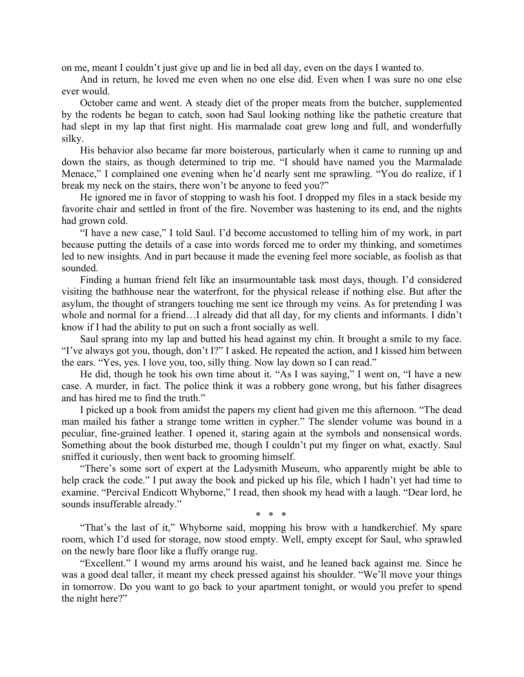on me, meant I couldn't just give up and lie in bed all day, even on the days I wanted to.

And in return, he loved me even when no one else did. Even when I was sure no one else ever would.

October came and went. A steady diet of the proper meats from the butcher, supplemented by the rodents he began to catch, soon had Saul looking nothing like the pathetic creature that had slept in my lap that first night. His marmalade coat grew long and full, and wonderfully silky.

His behavior also became far more boisterous, particularly when it came to running up and down the stairs, as though determined to trip me. "I should have named you the Marmalade Menace," I complained one evening when he'd nearly sent me sprawling. "You do realize, if I break my neck on the stairs, there won't be anyone to feed you?"

He ignored me in favor of stopping to wash his foot. I dropped my files in a stack beside my favorite chair and settled in front of the fire. November was hastening to its end, and the nights had grown cold.

"I have a new case," I told Saul. I'd become accustomed to telling him of my work, in part because putting the details of a case into words forced me to order my thinking, and sometimes led to new insights. And in part because it made the evening feel more sociable, as foolish as that sounded.

Finding a human friend felt like an insurmountable task most days, though. I'd considered visiting the bathhouse near the waterfront, for the physical release if nothing else. But after the asylum, the thought of strangers touching me sent ice through my veins. As for pretending I was whole and normal for a friend…I already did that all day, for my clients and informants. I didn't know if I had the ability to put on such a front socially as well.

Saul sprang into my lap and butted his head against my chin. It brought a smile to my face. "I've always got you, though, don't I?" I asked. He repeated the action, and I kissed him between the ears. "Yes, yes. I love you, too, silly thing. Now lay down so I can read."

He did, though he took his own time about it. "As I was saying," I went on, "I have a new case. A murder, in fact. The police think it was a robbery gone wrong, but his father disagrees and has hired me to find the truth."

I picked up a book from amidst the papers my client had given me this afternoon. "The dead man mailed his father a strange tome written in cypher." The slender volume was bound in a peculiar, fine-grained leather. I opened it, staring again at the symbols and nonsensical words. Something about the book disturbed me, though I couldn't put my finger on what, exactly. Saul sniffed it curiously, then went back to grooming himself.

"There's some sort of expert at the Ladysmith Museum, who apparently might be able to help crack the code." I put away the book and picked up his file, which I hadn't yet had time to examine. "Percival Endicott Whyborne," I read, then shook my head with a laugh. "Dear lord, he sounds insufferable already."

\* \* \*

"That's the last of it," Whyborne said, mopping his brow with a handkerchief. My spare room, which I'd used for storage, now stood empty. Well, empty except for Saul, who sprawled on the newly bare floor like a fluffy orange rug.

"Excellent." I wound my arms around his waist, and he leaned back against me. Since he was a good deal taller, it meant my cheek pressed against his shoulder. "We'll move your things in tomorrow. Do you want to go back to your apartment tonight, or would you prefer to spend the night here?"